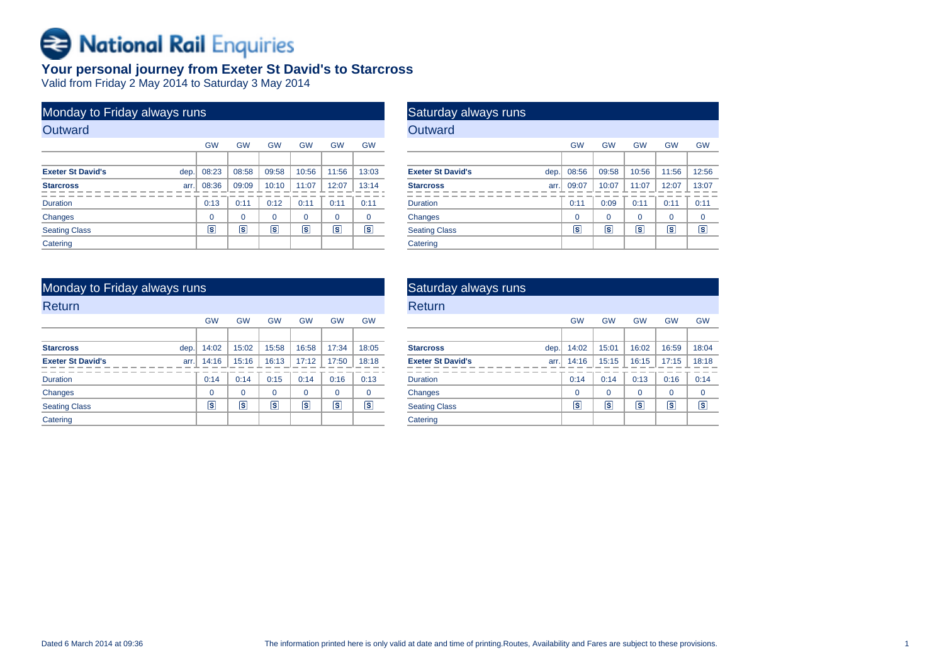# **B** National Rail Enquiries

## **Your personal journey from Exeter St David's to Starcross**

Valid from Friday 2 May 2014 to Saturday 3 May 2014

| Monday to Friday always runs |      |           |           |                   |           |           |             |
|------------------------------|------|-----------|-----------|-------------------|-----------|-----------|-------------|
| Outward                      |      |           |           |                   |           |           |             |
|                              |      | <b>GW</b> | <b>GW</b> | <b>GW</b>         | <b>GW</b> | <b>GW</b> | <b>GW</b>   |
|                              |      |           |           |                   |           |           |             |
| <b>Exeter St David's</b>     | dep. | 08:23     | 08:58     | 09:58             | 10:56     | 11:56     | 13:03       |
| <b>Starcross</b>             | arr. | 08:36     | 09:09     | 10:10             | 11:07     | 12:07     | 13:14       |
| <b>Duration</b>              |      | 0:13      | 0:11      | 0:12              | 0:11      | 0:11      | 0:11        |
| Changes                      |      | $\Omega$  | $\Omega$  | $\Omega$          | $\Omega$  | $\Omega$  | $\mathbf 0$ |
| <b>Seating Class</b>         |      | ls.       | ls        | $\vert$ s $\vert$ | ls.       | īs.       | s           |
| Catering                     |      |           |           |                   |           |           |             |

| Saturday always runs     |      |           |                         |           |           |           |
|--------------------------|------|-----------|-------------------------|-----------|-----------|-----------|
| Outward                  |      |           |                         |           |           |           |
|                          |      | <b>GW</b> | <b>GW</b>               | <b>GW</b> | <b>GW</b> | <b>GW</b> |
|                          |      |           |                         |           |           |           |
| <b>Exeter St David's</b> | dep. | 08:56     | 09:58                   | 10:56     | 11:56     | 12:56     |
| <b>Starcross</b>         | arr. | 09:07     | 10:07                   | 11:07     | 12:07     | 13:07     |
| <b>Duration</b>          |      | 0:11      | 0:09                    | 0:11      | 0:11      | 0:11      |
| Changes                  |      | $\Omega$  | 0                       | $\Omega$  | $\Omega$  | 0         |
| <b>Seating Class</b>     |      | s         | $\overline{\mathbf{s}}$ | s         | s         | ls        |
| Catering                 |      |           |                         |           |           |           |

| Monday to Friday always runs     |                         |           |           |           |                |                      |
|----------------------------------|-------------------------|-----------|-----------|-----------|----------------|----------------------|
| Return                           |                         |           |           |           |                |                      |
|                                  | <b>GW</b>               | <b>GW</b> | <b>GW</b> | <b>GW</b> | <b>GW</b>      | <b>GW</b>            |
|                                  |                         |           |           |           |                |                      |
| dep.<br><b>Starcross</b>         | 14:02                   | 15:02     | 15:58     | 16:58     | 17:34          | 18:05                |
| <b>Exeter St David's</b><br>arr. | 14:16                   | 15:16     | 16:13     | 17:12     | 17:50          | 18:18                |
| <b>Duration</b>                  | 0:14                    | 0:14      | 0:15      | 0:14      | 0:16           | 0:13                 |
| Changes                          | $\Omega$                | $\Omega$  | $\Omega$  | $\Omega$  | $\Omega$       | $\mathbf 0$          |
| <b>Seating Class</b>             | $\overline{\mathbf{s}}$ | ls.       | ls        | Γs        | $ \mathsf{s} $ | $\boxed{\mathbf{s}}$ |
| Catering                         |                         |           |           |           |                |                      |

| Saturday always runs             |           |                |           |           |                  |
|----------------------------------|-----------|----------------|-----------|-----------|------------------|
| Return                           |           |                |           |           |                  |
|                                  | <b>GW</b> | <b>GW</b>      | <b>GW</b> | <b>GW</b> | <b>GW</b>        |
|                                  |           |                |           |           |                  |
| <b>Starcross</b><br>dep.         | 14:02     | 15:01          | 16:02     | 16:59     | 18:04            |
| <b>Exeter St David's</b><br>arr. | 14:16     | 15:15          | 16:15     | 17:15     | 18:18            |
| <b>Duration</b>                  | 0:14      | 0:14           | 0:13      | 0:16      | 0:14             |
| Changes                          | $\Omega$  | $\Omega$       | $\Omega$  | $\Omega$  | $\mathbf 0$      |
| <b>Seating Class</b>             | s.        | $ \mathsf{s} $ | s         | ls.       | $ \overline{s} $ |
| Catering                         |           |                |           |           |                  |